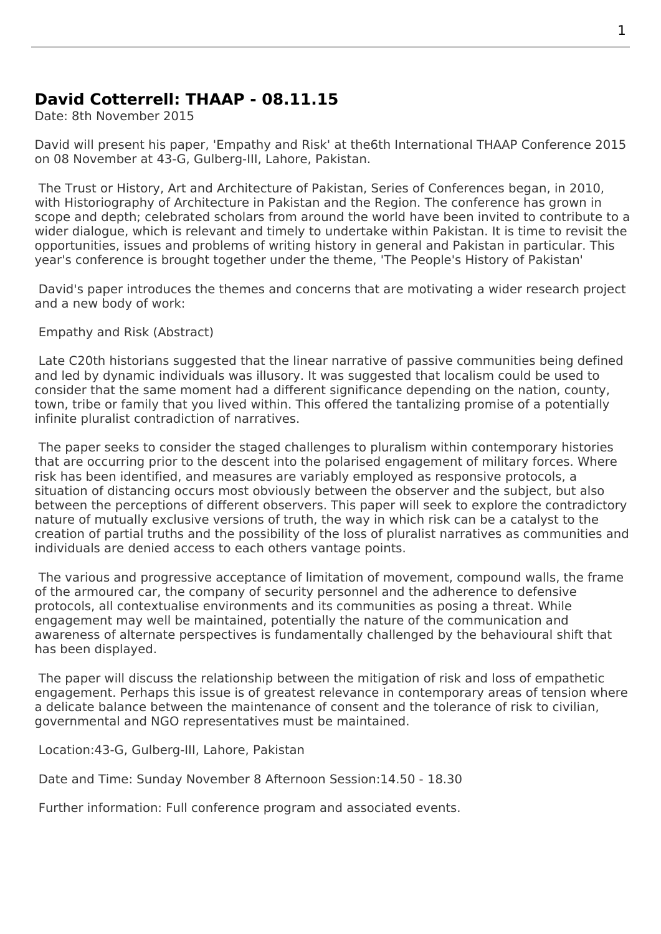## **David Cotterrell: THAAP - 08.11.15**

Date: 8th November 2015

David will present his paper, 'Empathy and Risk' at the6th International THAAP Conference 2015 on 08 November at 43-G, Gulberg-III, Lahore, Pakistan.

 The Trust or History, Art and Architecture of Pakistan, Series of Conferences began, in 2010, with Historiography of Architecture in Pakistan and the Region. The conference has grown in scope and depth; celebrated scholars from around the world have been invited to contribute to a wider dialogue, which is relevant and timely to undertake within Pakistan. It is time to revisit the opportunities, issues and problems of writing history in general and Pakistan in particular. This year's conference is brought together under the theme, 'The People's History of Pakistan'

 David's paper introduces the themes and concerns that are motivating a wider research project and a new body of work:

Empathy and Risk (Abstract)

 Late C20th historians suggested that the linear narrative of passive communities being defined and led by dynamic individuals was illusory. It was suggested that localism could be used to consider that the same moment had a different significance depending on the nation, county, town, tribe or family that you lived within. This offered the tantalizing promise of a potentially infinite pluralist contradiction of narratives.

 The paper seeks to consider the staged challenges to pluralism within contemporary histories that are occurring prior to the descent into the polarised engagement of military forces. Where risk has been identified, and measures are variably employed as responsive protocols, a situation of distancing occurs most obviously between the observer and the subject, but also between the perceptions of different observers. This paper will seek to explore the contradictory nature of mutually exclusive versions of truth, the way in which risk can be a catalyst to the creation of partial truths and the possibility of the loss of pluralist narratives as communities and individuals are denied access to each others vantage points.

 The various and progressive acceptance of limitation of movement, compound walls, the frame of the armoured car, the company of security personnel and the adherence to defensive protocols, all contextualise environments and its communities as posing a threat. While engagement may well be maintained, potentially the nature of the communication and awareness of alternate perspectives is fundamentally challenged by the behavioural shift that has been displayed.

 The paper will discuss the relationship between the mitigation of risk and loss of empathetic engagement. Perhaps this issue is of greatest relevance in contemporary areas of tension where a delicate balance between the maintenance of consent and the tolerance of risk to civilian, governmental and NGO representatives must be maintained.

Location:43-G, Gulberg-III, Lahore, Pakistan

Date and Time: Sunday November 8 Afternoon Session:14.50 - 18.30

Further information: Full conference program and associated events.